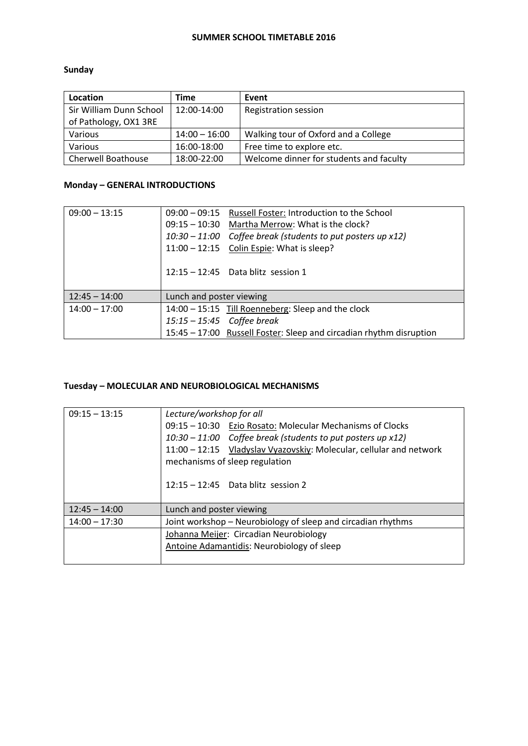#### **SUMMER SCHOOL TIMETABLE 2016**

### **Sunday**

| Location                  | Time            | Event                                   |
|---------------------------|-----------------|-----------------------------------------|
| Sir William Dunn School   | 12:00-14:00     | <b>Registration session</b>             |
| of Pathology, OX1 3RE     |                 |                                         |
| Various                   | $14:00 - 16:00$ | Walking tour of Oxford and a College    |
| Various                   | 16:00-18:00     | Free time to explore etc.               |
| <b>Cherwell Boathouse</b> | 18:00-22:00     | Welcome dinner for students and faculty |

#### **Monday – GENERAL INTRODUCTIONS**

| $09:00 - 13:15$ | 09:00 - 09:15 Russell Foster: Introduction to the School            |  |
|-----------------|---------------------------------------------------------------------|--|
|                 | 09:15 - 10:30 Martha Merrow: What is the clock?                     |  |
|                 | 10:30 – 11:00 Coffee break (students to put posters up x12)         |  |
|                 | 11:00 - 12:15 Colin Espie: What is sleep?                           |  |
|                 |                                                                     |  |
|                 | $12:15 - 12:45$ Data blitz session 1                                |  |
|                 |                                                                     |  |
| $12:45 - 14:00$ | Lunch and poster viewing                                            |  |
| $14:00 - 17:00$ | 14:00 - 15:15 Till Roenneberg: Sleep and the clock                  |  |
|                 | $15:15 - 15:45$ Coffee break                                        |  |
|                 | 15:45 - 17:00 Russell Foster: Sleep and circadian rhythm disruption |  |

#### **Tuesday – MOLECULAR AND NEUROBIOLOGICAL MECHANISMS**

| $09:15 - 13:15$ | Lecture/workshop for all<br>09:15 - 10:30 Ezio Rosato: Molecular Mechanisms of Clocks<br>10:30 – 11:00 Coffee break (students to put posters up x12)<br>11:00 - 12:15 Vladyslav Vyazovskiy: Molecular, cellular and network<br>mechanisms of sleep regulation<br>$12:15 - 12:45$ Data blitz session 2 |  |
|-----------------|-------------------------------------------------------------------------------------------------------------------------------------------------------------------------------------------------------------------------------------------------------------------------------------------------------|--|
| $12:45 - 14:00$ | Lunch and poster viewing                                                                                                                                                                                                                                                                              |  |
| $14:00 - 17:30$ | Joint workshop – Neurobiology of sleep and circadian rhythms                                                                                                                                                                                                                                          |  |
|                 | Johanna Meijer: Circadian Neurobiology<br>Antoine Adamantidis: Neurobiology of sleep                                                                                                                                                                                                                  |  |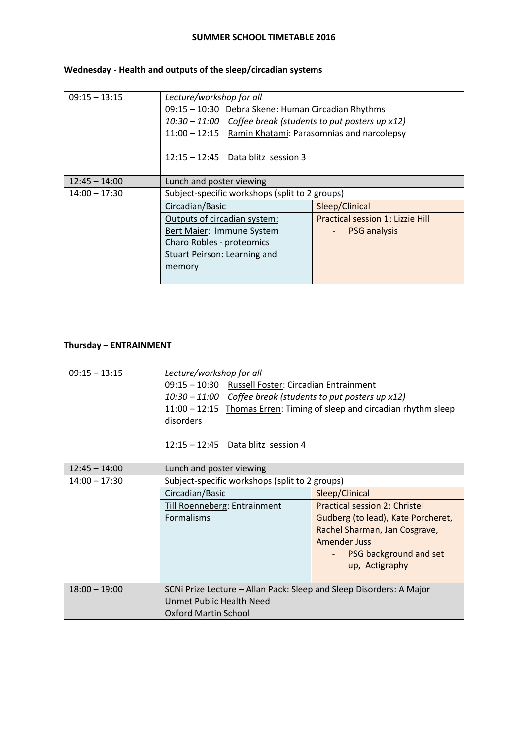#### **SUMMER SCHOOL TIMETABLE 2016**

## **Wednesday - Health and outputs of the sleep/circadian systems**

| $09:15 - 13:15$ | Lecture/workshop for all                                      |                                  |  |
|-----------------|---------------------------------------------------------------|----------------------------------|--|
|                 | 09:15 - 10:30 Debra Skene: Human Circadian Rhythms            |                                  |  |
|                 | $10:30 - 11:00$ Coffee break (students to put posters up x12) |                                  |  |
|                 | 11:00 - 12:15 Ramin Khatami: Parasomnias and narcolepsy       |                                  |  |
|                 | $12:15 - 12:45$ Data blitz session 3                          |                                  |  |
| $12:45 - 14:00$ | Lunch and poster viewing                                      |                                  |  |
| $14:00 - 17:30$ | Subject-specific workshops (split to 2 groups)                |                                  |  |
|                 | Circadian/Basic                                               | Sleep/Clinical                   |  |
|                 | Outputs of circadian system:                                  | Practical session 1: Lizzie Hill |  |
|                 | Bert Maier: Immune System                                     | <b>PSG</b> analysis              |  |
|                 | Charo Robles - proteomics                                     |                                  |  |
|                 | Stuart Peirson: Learning and                                  |                                  |  |
|                 | memory                                                        |                                  |  |
|                 |                                                               |                                  |  |

## **Thursday – ENTRAINMENT**

| $09:15 - 13:15$ | Lecture/workshop for all                                                                                                |                                      |  |
|-----------------|-------------------------------------------------------------------------------------------------------------------------|--------------------------------------|--|
|                 | 09:15 - 10:30 Russell Foster: Circadian Entrainment                                                                     |                                      |  |
|                 | 10:30 – 11:00 Coffee break (students to put posters up x12)                                                             |                                      |  |
|                 | 11:00 - 12:15 Thomas Erren: Timing of sleep and circadian rhythm sleep                                                  |                                      |  |
|                 | disorders                                                                                                               |                                      |  |
|                 |                                                                                                                         |                                      |  |
|                 | $12:15 - 12:45$ Data blitz session 4                                                                                    |                                      |  |
|                 |                                                                                                                         |                                      |  |
| $12:45 - 14:00$ | Lunch and poster viewing                                                                                                |                                      |  |
| $14:00 - 17:30$ | Subject-specific workshops (split to 2 groups)                                                                          |                                      |  |
|                 | Circadian/Basic                                                                                                         | Sleep/Clinical                       |  |
|                 | <b>Till Roenneberg: Entrainment</b>                                                                                     | <b>Practical session 2: Christel</b> |  |
|                 | <b>Formalisms</b>                                                                                                       | Gudberg (to lead), Kate Porcheret,   |  |
|                 |                                                                                                                         | Rachel Sharman, Jan Cosgrave,        |  |
|                 |                                                                                                                         | <b>Amender Juss</b>                  |  |
|                 |                                                                                                                         | PSG background and set               |  |
|                 |                                                                                                                         | up, Actigraphy                       |  |
|                 |                                                                                                                         |                                      |  |
| $18:00 - 19:00$ | SCNi Prize Lecture - Allan Pack: Sleep and Sleep Disorders: A Major<br>Unmet Public Health Need<br>Oxford Martin School |                                      |  |
|                 |                                                                                                                         |                                      |  |
|                 |                                                                                                                         |                                      |  |